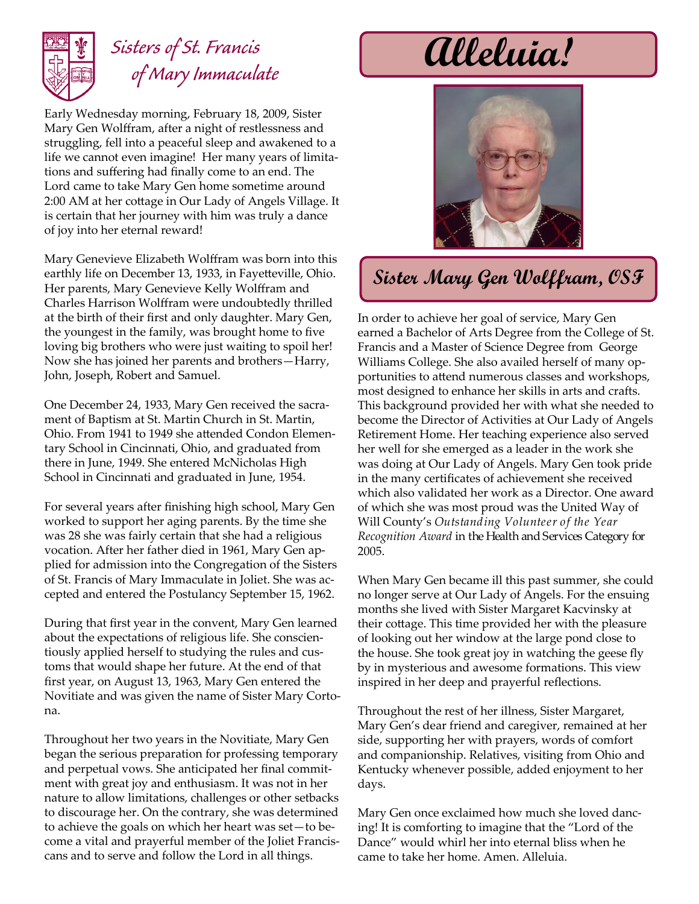

## *Sisters of St. Francis of Mary Immaculate*

Early Wednesday morning, February 18, 2009, Sister Mary Gen Wolffram, after a night of restlessness and struggling, fell into a peaceful sleep and awakened to a life we cannot even imagine! Her many years of limitations and suffering had finally come to an end. The Lord came to take Mary Gen home sometime around 2:00 AM at her cottage in Our Lady of Angels Village. It is certain that her journey with him was truly a dance of joy into her eternal reward!

Mary Genevieve Elizabeth Wolffram was born into this earthly life on December 13, 1933, in Fayetteville, Ohio. Her parents, Mary Genevieve Kelly Wolffram and Charles Harrison Wolffram were undoubtedly thrilled at the birth of their first and only daughter. Mary Gen, the youngest in the family, was brought home to five loving big brothers who were just waiting to spoil her! Now she has joined her parents and brothers—Harry, John, Joseph, Robert and Samuel.

One December 24, 1933, Mary Gen received the sacrament of Baptism at St. Martin Church in St. Martin, Ohio. From 1941 to 1949 she attended Condon Elementary School in Cincinnati, Ohio, and graduated from there in June, 1949. She entered McNicholas High School in Cincinnati and graduated in June, 1954.

For several years after finishing high school, Mary Gen worked to support her aging parents. By the time she was 28 she was fairly certain that she had a religious vocation. After her father died in 1961, Mary Gen applied for admission into the Congregation of the Sisters of St. Francis of Mary Immaculate in Joliet. She was accepted and entered the Postulancy September 15, 1962.

During that first year in the convent, Mary Gen learned about the expectations of religious life. She conscientiously applied herself to studying the rules and customs that would shape her future. At the end of that first year, on August 13, 1963, Mary Gen entered the Novitiate and was given the name of Sister Mary Cortona.

Throughout her two years in the Novitiate, Mary Gen began the serious preparation for professing temporary and perpetual vows. She anticipated her final commitment with great joy and enthusiasm. It was not in her nature to allow limitations, challenges or other setbacks to discourage her. On the contrary, she was determined to achieve the goals on which her heart was set—to become a vital and prayerful member of the Joliet Franciscans and to serve and follow the Lord in all things.

**Alleluia!**



## **Sister Mary Gen Wolffram, OSF**

In order to achieve her goal of service, Mary Gen earned a Bachelor of Arts Degree from the College of St. Francis and a Master of Science Degree from George Williams College. She also availed herself of many opportunities to attend numerous classes and workshops, most designed to enhance her skills in arts and crafts. This background provided her with what she needed to become the Director of Activities at Our Lady of Angels Retirement Home. Her teaching experience also served her well for she emerged as a leader in the work she was doing at Our Lady of Angels. Mary Gen took pride in the many certificates of achievement she received which also validated her work as a Director. One award of which she was most proud was the United Way of Will County's *Outstanding Volunteer of the Year Recognition Award* in the Health and Services Category for 2005.

When Mary Gen became ill this past summer, she could no longer serve at Our Lady of Angels. For the ensuing months she lived with Sister Margaret Kacvinsky at their cottage. This time provided her with the pleasure of looking out her window at the large pond close to the house. She took great joy in watching the geese fly by in mysterious and awesome formations. This view inspired in her deep and prayerful reflections.

Throughout the rest of her illness, Sister Margaret, Mary Gen's dear friend and caregiver, remained at her side, supporting her with prayers, words of comfort and companionship. Relatives, visiting from Ohio and Kentucky whenever possible, added enjoyment to her days.

Mary Gen once exclaimed how much she loved dancing! It is comforting to imagine that the "Lord of the Dance" would whirl her into eternal bliss when he came to take her home. Amen. Alleluia.